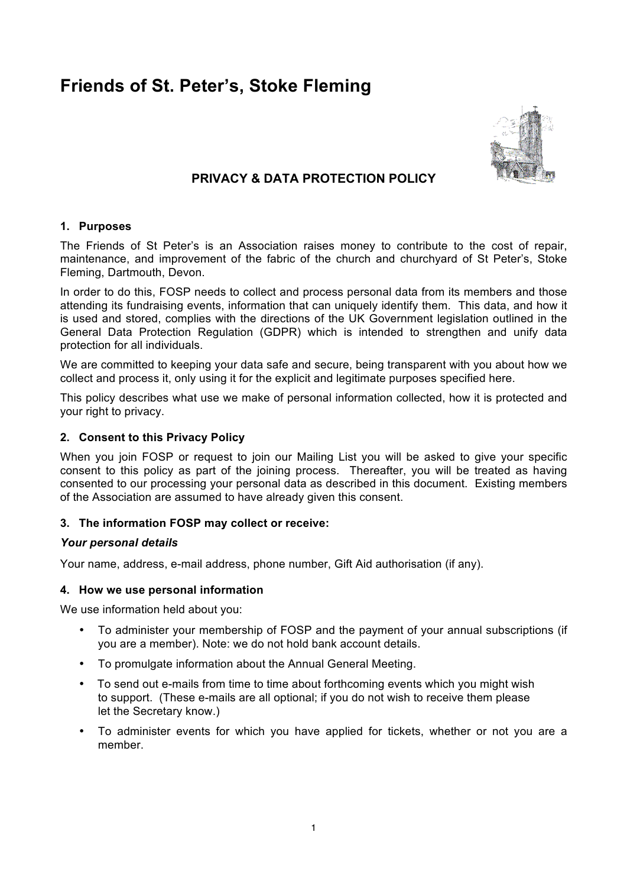# **Friends of St. Peter's, Stoke Fleming**



## **PRIVACY & DATA PROTECTION POLICY**

## **1. Purposes**

The Friends of St Peter's is an Association raises money to contribute to the cost of repair, maintenance, and improvement of the fabric of the church and churchyard of St Peter's, Stoke Fleming, Dartmouth, Devon.

In order to do this, FOSP needs to collect and process personal data from its members and those attending its fundraising events, information that can uniquely identify them. This data, and how it is used and stored, complies with the directions of the UK Government legislation outlined in the General Data Protection Regulation (GDPR) which is intended to strengthen and unify data protection for all individuals.

We are committed to keeping your data safe and secure, being transparent with you about how we collect and process it, only using it for the explicit and legitimate purposes specified here.

This policy describes what use we make of personal information collected, how it is protected and your right to privacy.

## **2. Consent to this Privacy Policy**

When you join FOSP or request to join our Mailing List you will be asked to give your specific consent to this policy as part of the joining process. Thereafter, you will be treated as having consented to our processing your personal data as described in this document. Existing members of the Association are assumed to have already given this consent.

#### **3. The information FOSP may collect or receive:**

#### *Your personal details*

Your name, address, e-mail address, phone number, Gift Aid authorisation (if any).

#### **4. How we use personal information**

We use information held about you:

- To administer your membership of FOSP and the payment of your annual subscriptions (if you are a member). Note: we do not hold bank account details.
- To promulgate information about the Annual General Meeting.
- To send out e-mails from time to time about forthcoming events which you might wish to support. (These e-mails are all optional; if you do not wish to receive them please let the Secretary know.)
- To administer events for which you have applied for tickets, whether or not you are a member.